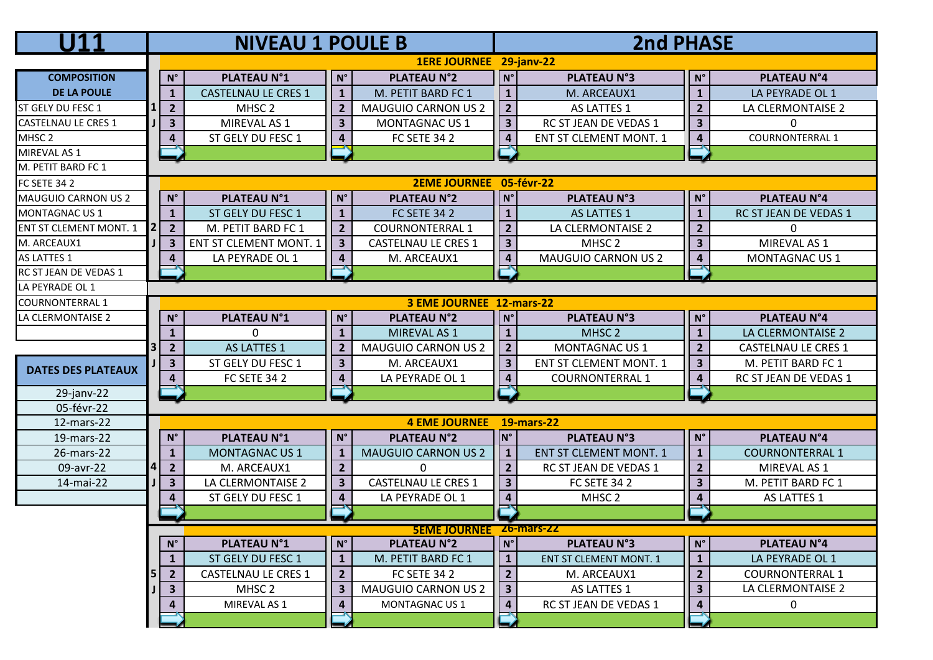|                               |                         |                                           | <b>NIVEAU 1 POULE B</b>       |                          |                            | <b>2nd PHASE</b>         |                               |                         |                            |  |  |
|-------------------------------|-------------------------|-------------------------------------------|-------------------------------|--------------------------|----------------------------|--------------------------|-------------------------------|-------------------------|----------------------------|--|--|
|                               | 1ERE JOURNEE 29-janv-22 |                                           |                               |                          |                            |                          |                               |                         |                            |  |  |
| <b>COMPOSITION</b>            |                         | $N^{\circ}$                               | <b>PLATEAU N°1</b>            | $\mathsf{N}^\circ$       | <b>PLATEAU N°2</b>         | $N^{\circ}$              | <b>PLATEAU N°3</b>            | $N^{\circ}$             | <b>PLATEAU N°4</b>         |  |  |
| <b>DE LA POULE</b>            |                         | $\mathbf{1}$                              | <b>CASTELNAU LE CRES 1</b>    | $\mathbf{1}$             | M. PETIT BARD FC 1         | $\mathbf 1$              | M. ARCEAUX1                   | $\mathbf{1}$            | LA PEYRADE OL 1            |  |  |
| ST GELY DU FESC 1             |                         | $\overline{2}$                            | MHSC <sub>2</sub>             | $\overline{2}$           | <b>MAUGUIO CARNON US 2</b> | $\overline{2}$           | AS LATTES 1                   | $\overline{2}$          | LA CLERMONTAISE 2          |  |  |
| <b>CASTELNAU LE CRES 1</b>    |                         | 3                                         | MIREVAL AS 1                  | $\overline{\mathbf{3}}$  | <b>MONTAGNAC US 1</b>      | $\overline{\mathbf{3}}$  | RC ST JEAN DE VEDAS 1         | 3                       | 0                          |  |  |
| MHSC <sub>2</sub>             |                         | 4                                         | ST GELY DU FESC 1             | $\overline{\mathbf{4}}$  | <b>FC SETE 34 2</b>        | $\overline{\mathbf{4}}$  | <b>ENT ST CLEMENT MONT. 1</b> | $\overline{\mathbf{4}}$ | <b>COURNONTERRAL 1</b>     |  |  |
| MIREVAL AS 1                  |                         |                                           |                               |                          |                            | -1                       |                               | -1                      |                            |  |  |
| M. PETIT BARD FC 1            |                         |                                           |                               |                          |                            |                          |                               |                         |                            |  |  |
| <b>FC SETE 34 2</b>           |                         |                                           |                               |                          | <b>2EME JOURNEE</b>        |                          | 05-févr-22                    |                         |                            |  |  |
| MAUGUIO CARNON US 2           |                         | $\mathsf{N}^\circ$                        | <b>PLATEAU N°1</b>            | $N^{\circ}$              | <b>PLATEAU N°2</b>         | $N^{\circ}$              | <b>PLATEAU N°3</b>            | $N^{\circ}$             | <b>PLATEAU N°4</b>         |  |  |
| <b>MONTAGNAC US 1</b>         |                         | $\mathbf{1}$                              | ST GELY DU FESC 1             | $\mathbf{1}$             | <b>FC SETE 34 2</b>        | $\mathbf{1}$             | AS LATTES 1                   | $\mathbf{1}$            | RC ST JEAN DE VEDAS 1      |  |  |
| <b>ENT ST CLEMENT MONT. 1</b> |                         | $\overline{2}$                            | M. PETIT BARD FC 1            | $\overline{2}$           | <b>COURNONTERRAL 1</b>     | $\overline{2}$           | LA CLERMONTAISE 2             | $\overline{2}$          | $\Omega$                   |  |  |
| M. ARCEAUX1                   |                         | 3                                         | <b>ENT ST CLEMENT MONT. 1</b> | $\overline{\mathbf{3}}$  | <b>CASTELNAU LE CRES 1</b> | $\overline{\mathbf{3}}$  | MHSC <sub>2</sub>             | $\overline{\mathbf{3}}$ | MIREVAL AS 1               |  |  |
| AS LATTES 1                   |                         | 4                                         | LA PEYRADE OL 1               | $\overline{\mathbf{4}}$  | M. ARCEAUX1                | $\pmb{4}$                | <b>MAUGUIO CARNON US 2</b>    | $\overline{\mathbf{4}}$ | MONTAGNAC US 1             |  |  |
| RC ST JEAN DE VEDAS 1         |                         |                                           |                               |                          |                            | ⊸                        |                               | ∽                       |                            |  |  |
| LA PEYRADE OL 1               |                         |                                           |                               |                          |                            |                          |                               |                         |                            |  |  |
| <b>COURNONTERRAL 1</b>        |                         |                                           |                               |                          | 3 EME JOURNEE 12-mars-22   |                          |                               |                         |                            |  |  |
| LA CLERMONTAISE 2             |                         | $N^{\circ}$                               | <b>PLATEAU N°1</b>            | $N^{\circ}$              | <b>PLATEAU N°2</b>         | $N^{\circ}$              | <b>PLATEAU N°3</b>            | $N^{\circ}$             | <b>PLATEAU N°4</b>         |  |  |
|                               |                         | $\mathbf{1}$                              | 0                             | $\mathbf{1}$             | MIREVAL AS 1               | $\mathbf{1}$             | MHSC <sub>2</sub>             | $\mathbf{1}$            | LA CLERMONTAISE 2          |  |  |
|                               |                         | $\overline{2}$                            | AS LATTES 1                   | $\overline{2}$           | <b>MAUGUIO CARNON US 2</b> | $\overline{2}$           | MONTAGNAC US 1                | $\overline{2}$          | <b>CASTELNAU LE CRES 1</b> |  |  |
| <b>DATES DES PLATEAUX</b>     |                         | $\overline{\mathbf{3}}$                   | ST GELY DU FESC 1             | $\overline{\mathbf{3}}$  | M. ARCEAUX1                | $\overline{\mathbf{3}}$  | <b>ENT ST CLEMENT MONT. 1</b> | 3                       | M. PETIT BARD FC 1         |  |  |
|                               |                         | $\overline{\mathbf{4}}$                   | <b>FC SETE 34 2</b>           | $\overline{\mathbf{4}}$  | LA PEYRADE OL 1            | $\pmb{4}$                | <b>COURNONTERRAL 1</b>        | $\overline{\mathbf{4}}$ | RC ST JEAN DE VEDAS 1      |  |  |
| 29-janv-22                    |                         |                                           |                               |                          |                            | Ē                        |                               |                         |                            |  |  |
| 05-févr-22                    |                         |                                           |                               |                          |                            |                          |                               |                         |                            |  |  |
| 12-mars-22                    |                         |                                           |                               |                          | <b>4 EME JOURNEE</b>       |                          | <b>19-mars-22</b>             |                         |                            |  |  |
| 19-mars-22                    |                         | $N^{\circ}$                               | <b>PLATEAU N°1</b>            | $N^{\circ}$              | <b>PLATEAU N°2</b>         | IN°                      | <b>PLATEAU N°3</b>            | $N^{\circ}$             | <b>PLATEAU N°4</b>         |  |  |
| 26-mars-22                    |                         | $\mathbf{1}$                              | <b>MONTAGNAC US 1</b>         | $\mathbf{1}$             | <b>MAUGUIO CARNON US 2</b> | $\mathbf{1}$             | <b>ENT ST CLEMENT MONT. 1</b> | $\mathbf{1}$            | <b>COURNONTERRAL 1</b>     |  |  |
| 09-avr-22                     |                         | $\overline{2}$                            | M. ARCEAUX1                   | $\overline{2}$           | $\mathbf{0}$               | $\overline{2}$           | RC ST JEAN DE VEDAS 1         | $\overline{2}$          | MIREVAL AS 1               |  |  |
| 14-mai-22                     |                         | $\overline{\mathbf{3}}$                   | LA CLERMONTAISE 2             | $\overline{\mathbf{3}}$  | <b>CASTELNAU LE CRES 1</b> | $\overline{\mathbf{3}}$  | <b>FC SETE 34 2</b>           | 3                       | M. PETIT BARD FC 1         |  |  |
|                               |                         | 4                                         | ST GELY DU FESC 1             | $\overline{\mathbf{4}}$  | LA PEYRADE OL 1            | $\overline{\mathbf{4}}$  | MHSC <sub>2</sub>             | 4                       | AS LATTES 1                |  |  |
|                               | ľ                       |                                           |                               |                          |                            |                          |                               |                         |                            |  |  |
|                               |                         | <b>SEME JOURNEE</b><br><u> Zb-mars-ZZ</u> |                               |                          |                            |                          |                               |                         |                            |  |  |
|                               |                         | $N^{\circ}$                               | <b>PLATEAU N°1</b>            | $\mathsf{N}^\circ$       | <b>PLATEAU N°2</b>         | $N^{\circ}$              | <b>PLATEAU N°3</b>            | $\mathsf{N}^\circ$      | <b>PLATEAU N°4</b>         |  |  |
|                               |                         | $\mathbf{1}$                              | ST GELY DU FESC 1             | $\mathbf{1}$             | M. PETIT BARD FC 1         | $\mathbf{1}$             | <b>ENT ST CLEMENT MONT. 1</b> | $\mathbf{1}$            | LA PEYRADE OL 1            |  |  |
|                               |                         | $2^{\circ}$                               | <b>CASTELNAU LE CRES 1</b>    | $\overline{2}$           | <b>FC SETE 34 2</b>        | $\overline{2}$           | M. ARCEAUX1                   | $\overline{2}$          | <b>COURNONTERRAL 1</b>     |  |  |
|                               |                         | 3                                         | MHSC 2                        | $\overline{\mathbf{3}}$  | <b>MAUGUIO CARNON US 2</b> | $\overline{\mathbf{3}}$  | AS LATTES 1                   | $\mathbf{3}$            | LA CLERMONTAISE 2          |  |  |
|                               |                         | 4                                         | MIREVAL AS 1                  | $\overline{\mathbf{4}}$  | MONTAGNAC US 1             | $\overline{\mathbf{4}}$  | RC ST JEAN DE VEDAS 1         | 4                       | 0                          |  |  |
|                               |                         |                                           |                               | $\overline{\phantom{a}}$ |                            | $\overline{\phantom{a}}$ |                               | ĺ                       |                            |  |  |